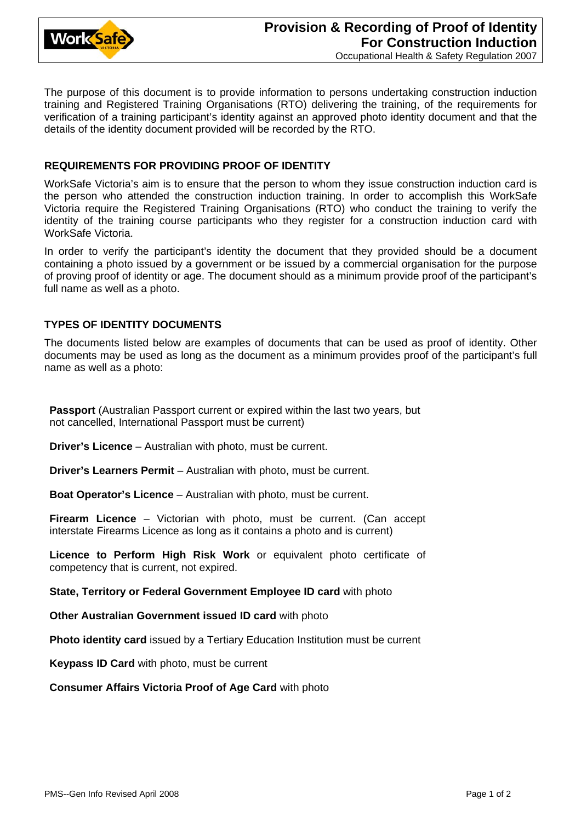

Occupational Health & Safety Regulation 2007

The purpose of this document is to provide information to persons undertaking construction induction training and Registered Training Organisations (RTO) delivering the training, of the requirements for verification of a training participant's identity against an approved photo identity document and that the details of the identity document provided will be recorded by the RTO.

## **REQUIREMENTS FOR PROVIDING PROOF OF IDENTITY**

WorkSafe Victoria's aim is to ensure that the person to whom they issue construction induction card is the person who attended the construction induction training. In order to accomplish this WorkSafe Victoria require the Registered Training Organisations (RTO) who conduct the training to verify the identity of the training course participants who they register for a construction induction card with WorkSafe Victoria.

In order to verify the participant's identity the document that they provided should be a document containing a photo issued by a government or be issued by a commercial organisation for the purpose of proving proof of identity or age. The document should as a minimum provide proof of the participant's full name as well as a photo.

# **TYPES OF IDENTITY DOCUMENTS**

The documents listed below are examples of documents that can be used as proof of identity. Other documents may be used as long as the document as a minimum provides proof of the participant's full name as well as a photo:

**Passport** (Australian Passport current or expired within the last two years, but not cancelled, International Passport must be current)

**Driver's Licence** – Australian with photo, must be current.

**Driver's Learners Permit** – Australian with photo, must be current.

**Boat Operator's Licence** – Australian with photo, must be current.

**Firearm Licence** – Victorian with photo, must be current. (Can accept interstate Firearms Licence as long as it contains a photo and is current)

**Licence to Perform High Risk Work** or equivalent photo certificate of competency that is current, not expired.

**State, Territory or Federal Government Employee ID card** with photo

**Other Australian Government issued ID card** with photo

**Photo identity card** issued by a Tertiary Education Institution must be current

**Keypass ID Card** with photo, must be current

**Consumer Affairs Victoria Proof of Age Card** with photo